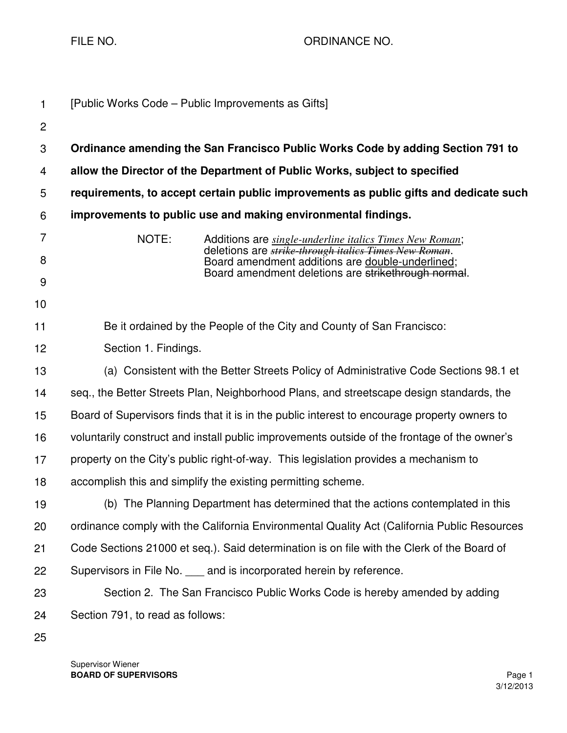FILE NO. 69 CHE AND THE RESERVE TO A REPORT ORDINANCE NO.

| $\mathbf{1}$        |                                                                                             | [Public Works Code – Public Improvements as Gifts]                                                                                                                                   |  |
|---------------------|---------------------------------------------------------------------------------------------|--------------------------------------------------------------------------------------------------------------------------------------------------------------------------------------|--|
| $\overline{2}$      |                                                                                             |                                                                                                                                                                                      |  |
| 3                   |                                                                                             | Ordinance amending the San Francisco Public Works Code by adding Section 791 to                                                                                                      |  |
| 4                   |                                                                                             | allow the Director of the Department of Public Works, subject to specified                                                                                                           |  |
| 5                   |                                                                                             | requirements, to accept certain public improvements as public gifts and dedicate such                                                                                                |  |
| 6                   | improvements to public use and making environmental findings.                               |                                                                                                                                                                                      |  |
| $\overline{7}$<br>8 | NOTE:                                                                                       | Additions are <i>single-underline italics Times New Roman</i> ;<br>deletions are <i>strike through italics Times New Roman</i> .<br>Board amendment additions are double-underlined; |  |
| $9\,$               |                                                                                             | Board amendment deletions are strikethrough normal.                                                                                                                                  |  |
| 10                  |                                                                                             |                                                                                                                                                                                      |  |
| 11                  | Be it ordained by the People of the City and County of San Francisco:                       |                                                                                                                                                                                      |  |
| 12                  | Section 1. Findings.                                                                        |                                                                                                                                                                                      |  |
| 13                  | (a) Consistent with the Better Streets Policy of Administrative Code Sections 98.1 et       |                                                                                                                                                                                      |  |
| 14                  |                                                                                             | seq., the Better Streets Plan, Neighborhood Plans, and streetscape design standards, the                                                                                             |  |
| 15                  |                                                                                             | Board of Supervisors finds that it is in the public interest to encourage property owners to                                                                                         |  |
| 16                  |                                                                                             | voluntarily construct and install public improvements outside of the frontage of the owner's                                                                                         |  |
| 17                  |                                                                                             | property on the City's public right-of-way. This legislation provides a mechanism to                                                                                                 |  |
| 18                  |                                                                                             | accomplish this and simplify the existing permitting scheme.                                                                                                                         |  |
| 19                  |                                                                                             | (b) The Planning Department has determined that the actions contemplated in this                                                                                                     |  |
| 20                  | ordinance comply with the California Environmental Quality Act (California Public Resources |                                                                                                                                                                                      |  |
| 21                  | Code Sections 21000 et seq.). Said determination is on file with the Clerk of the Board of  |                                                                                                                                                                                      |  |
| 22                  |                                                                                             | Supervisors in File No. ____ and is incorporated herein by reference.                                                                                                                |  |
| 23                  | Section 2. The San Francisco Public Works Code is hereby amended by adding                  |                                                                                                                                                                                      |  |
| 24                  | Section 791, to read as follows:                                                            |                                                                                                                                                                                      |  |
| 25                  |                                                                                             |                                                                                                                                                                                      |  |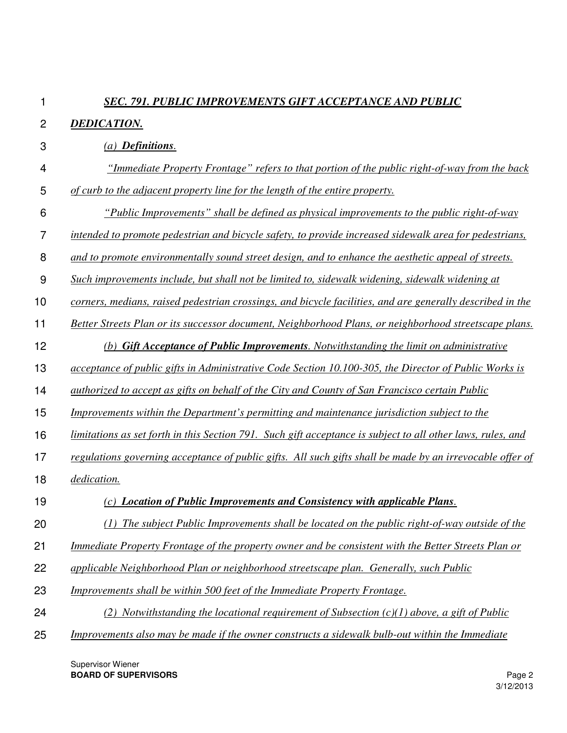## *SEC. 791. PUBLIC IMPROVEMENTS GIFT ACCEPTANCE AND PUBLIC*

## 2 *DEDICATION.*

1

- 3 4 5 *(a) Definitions. "Immediate Property Frontage" refers to that portion of the public right-of-way from the back of curb to the adjacent property line for the length of the entire property.*
- 6 *"Public Improvements" shall be defined as physical improvements to the public right-of-way*
- 7 *intended to promote pedestrian and bicycle safety, to provide increased sidewalk area for pedestrians,*
- 8 *and to promote environmentally sound street design, and to enhance the aesthetic appeal of streets.*
- 9 *Such improvements include, but shall not be limited to, sidewalk widening, sidewalk widening at*
- 10 *corners, medians, raised pedestrian crossings, and bicycle facilities, and are generally described in the*
- 11 *Better Streets Plan or its successor document, Neighborhood Plans, or neighborhood streetscape plans.*
- 12 *(b) Gift Acceptance of Public Improvements. Notwithstanding the limit on administrative*
- 13 *acceptance of public gifts in Administrative Code Section 10.100-305, the Director of Public Works is*
- 14 *authorized to accept as gifts on behalf of the City and County of San Francisco certain Public*
- 15 *Improvements within the Department's permitting and maintenance jurisdiction subject to the*
- 16 *limitations as set forth in this Section 791. Such gift acceptance is subject to all other laws, rules, and*
- 17 *regulations governing acceptance of public gifts. All such gifts shall be made by an irrevocable offer of*
- 18 *dedication.*
- 19 *(c) Location of Public Improvements and Consistency with applicable Plans.*
- 20 *(1) The subject Public Improvements shall be located on the public right-of-way outside of the*
- 21 *Immediate Property Frontage of the property owner and be consistent with the Better Streets Plan or*
- 22 *applicable Neighborhood Plan or neighborhood streetscape plan. Generally, such Public*
- 23 *Improvements shall be within 500 feet of the Immediate Property Frontage.*
- 24 *(2) Notwithstanding the locational requirement of Subsection (c)(1) above, a gift of Public*
- 25 *Improvements also may be made if the owner constructs a sidewalk bulb-out within the Immediate*

Supervisor Wiener **BOARD OF SUPERVISORS** Page 2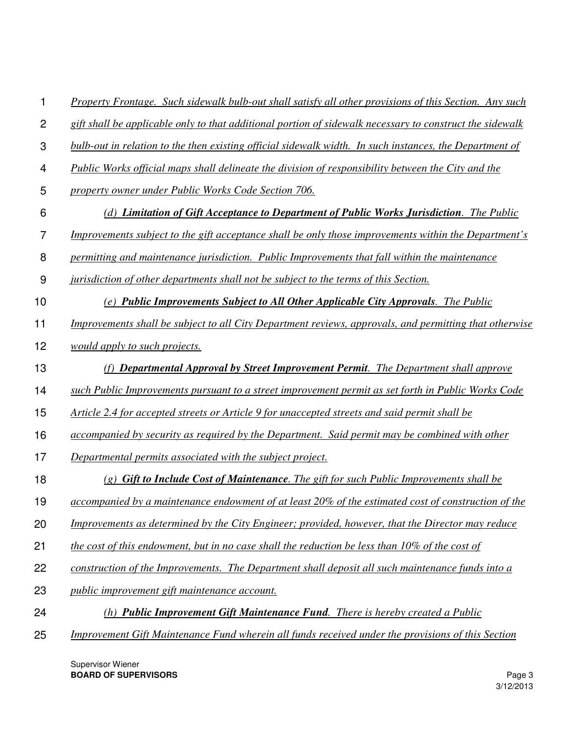|  | Property Frontage. Such sidewalk bulb-out shall satisfy all other provisions of this Section. Any such |  |
|--|--------------------------------------------------------------------------------------------------------|--|
|  |                                                                                                        |  |

- 2 *gift shall be applicable only to that additional portion of sidewalk necessary to construct the sidewalk*
- 3 *bulb-out in relation to the then existing official sidewalk width. In such instances, the Department of*
- 4 *Public Works official maps shall delineate the division of responsibility between the City and the*
- 5 *property owner under Public Works Code Section 706.*
- 6 *(d) Limitation of Gift Acceptance to Department of Public Works Jurisdiction. The Public*
- 7 *Improvements subject to the gift acceptance shall be only those improvements within the Department's*
- 8 *permitting and maintenance jurisdiction. Public Improvements that fall within the maintenance*
- 9 *jurisdiction of other departments shall not be subject to the terms of this Section.*
- 10 *(e) Public Improvements Subject to All Other Applicable City Approvals. The Public*
- 11 *Improvements shall be subject to all City Department reviews, approvals, and permitting that otherwise*
- 12 *would apply to such projects.*
- 13 *(f) Departmental Approval by Street Improvement Permit. The Department shall approve*
- 14 *such Public Improvements pursuant to a street improvement permit as set forth in Public Works Code*
- 15 *Article 2.4 for accepted streets or Article 9 for unaccepted streets and said permit shall be*
- 16 *accompanied by security as required by the Department. Said permit may be combined with other*
- 17 *Departmental permits associated with the subject project.*
- 18 *(g) Gift to Include Cost of Maintenance. The gift for such Public Improvements shall be*
- 19 *accompanied by a maintenance endowment of at least 20% of the estimated cost of construction of the*
- 20 *Improvements as determined by the City Engineer; provided, however, that the Director may reduce*
- 21 *the cost of this endowment, but in no case shall the reduction be less than 10% of the cost of*
- 22 *construction of the Improvements. The Department shall deposit all such maintenance funds into a*
- 23 *public improvement gift maintenance account.*
- 24 *(h) Public Improvement Gift Maintenance Fund. There is hereby created a Public*
- 25 *Improvement Gift Maintenance Fund wherein all funds received under the provisions of this Section*

Supervisor Wiener **BOARD OF SUPERVISORS** Page 3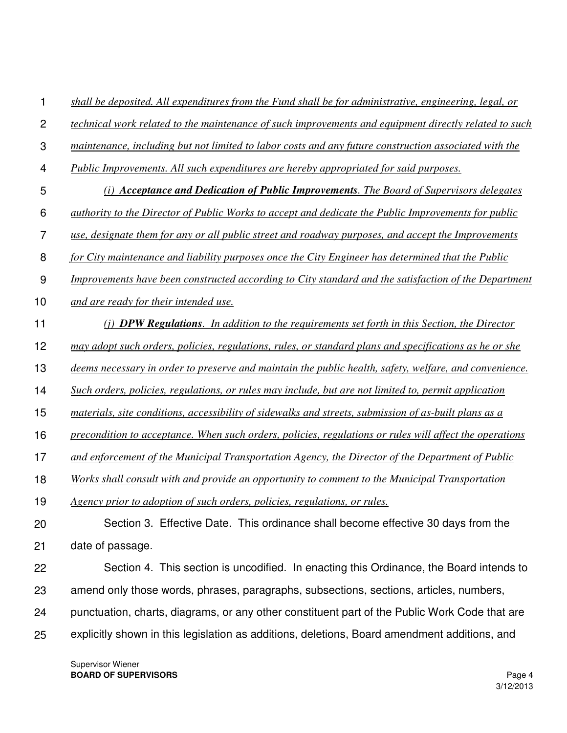1 *shall be deposited. All expenditures from the Fund shall be for administrative, engineering, legal, or*

- $\mathcal{P}$ *technical work related to the maintenance of such improvements and equipment directly related to such*
- 3 *maintenance, including but not limited to labor costs and any future construction associated with the*
- 4 *Public Improvements. All such expenditures are hereby appropriated for said purposes.*
- 5 *(i) Acceptance and Dedication of Public Improvements. The Board of Supervisors delegates*
- 6 *authority to the Director of Public Works to accept and dedicate the Public Improvements for public*
- 7 *use, designate them for any or all public street and roadway purposes, and accept the Improvements*
- 8 *for City maintenance and liability purposes once the City Engineer has determined that the Public*
- 9 *Improvements have been constructed according to City standard and the satisfaction of the Department*
- 10 *and are ready for their intended use.*
- 11 *(j) DPW Regulations. In addition to the requirements set forth in this Section, the Director*
- 12 *may adopt such orders, policies, regulations, rules, or standard plans and specifications as he or she*
- 13 *deems necessary in order to preserve and maintain the public health, safety, welfare, and convenience.*
- 14 *Such orders, policies, regulations, or rules may include, but are not limited to, permit application*
- 15 *materials, site conditions, accessibility of sidewalks and streets, submission of as-built plans as a*
- 16 *precondition to acceptance. When such orders, policies, regulations or rules will affect the operations*
- 17 *and enforcement of the Municipal Transportation Agency, the Director of the Department of Public*
- 18 *Works shall consult with and provide an opportunity to comment to the Municipal Transportation*
- 19 *Agency prior to adoption of such orders, policies, regulations, or rules.*
- 20 21 Section 3. Effective Date. This ordinance shall become effective 30 days from the date of passage.
- 22 23 24 Section 4. This section is uncodified. In enacting this Ordinance, the Board intends to amend only those words, phrases, paragraphs, subsections, sections, articles, numbers, punctuation, charts, diagrams, or any other constituent part of the Public Work Code that are
- 25 explicitly shown in this legislation as additions, deletions, Board amendment additions, and

Supervisor Wiener **BOARD OF SUPERVISORS** Page 4